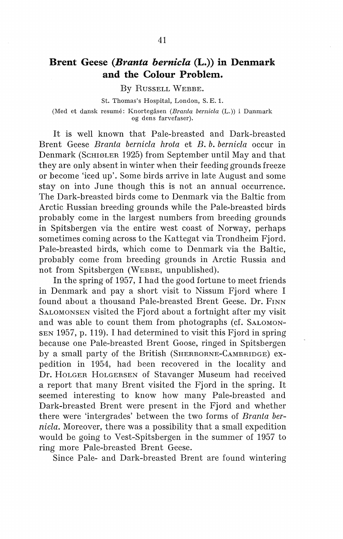# **Brent Geese** *(Branta bernicla* **(L.)) in Denmark and the Colour Problem.**

By RussELL WEBBE.

St. Thomas's Hospital, London, S. E. 1. (Med et dansk resume: Knortegåsen *(Branta bernicla* (L.)) i Danmark og dens farvefaser).

It is well known that Pale-breasted and Dark-breasted Brent Geese *Branta bernicla hrota* et *B. b. bernicla* occur in Denmark (ScmøLER 1925) from September until May and that they are only absent in winter when their feeding grounds freeze or become 'iced up'. Some hirds arrive in late August and some stay on into June though this is not an annual occurrence. The Dark-breasted hirds come to Denmark via the Baltic from Arctic Russian breeding grounds while the Pale-breasted hirds probably come in the largest numbers from breeding grounds in Spitsbergen via the entire west coast of Norway, perhaps sometimes coming across to the Kattegat via Trondheim Fjord. Pale-breasted hirds, which come to Denmark via the Baltic, probably come from breeding grounds in Arctic Russia and not from Spitsbergen (WEBBE, unpublished).

In the spring of 1957, I had the good fortune to meet friends in Denmark and pay a short visit to Nissum Fjord where I found about a thousand Pale-breasted Brent Geese. Dr. FINN SALOMONSEN visited the Fjord about a fortnight after my visit and was able to count them from photographs (cf. SALOMON-SEN 1957, p. 119). I had determined to visit this Fjord in spring because one Pale-breasted Brent Goose, ringed in Spitsbergen by a small party of the British (SHERBORNE-CAMBRIDGE) expedition in 1954, had been recovered in the locality and Dr. HOLGER HoLGERSEN of Stavanger Museum had received a report that many Brent visited the Fjord in the spring. It seemed interesting to know how many Pale-breasted and Dark-breasted Brent were present in the Fjord and whether there were 'intergrades' between the two forms of *Branta bernicla.* Moreover, there was a possibility that a small expedition would be going to Vest-Spitsbergen in the summer of 1957 to ring more Pale-breasted Brent Geese.

Since Pale- and Dark-breasted Brent are found wintering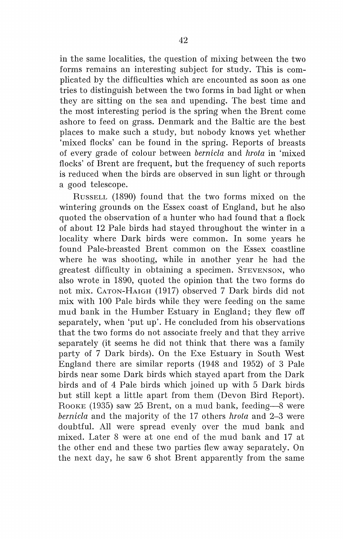in the same localities, the question of mixing between the two forms remains an interesting subject for study. This is complicated by the difficulties which are encounted as soon as one tries to distinguish between the two forms in bad light or when they are sitting on the sea and upending. The hest time and the most interesting period is the spring when the Brent come ashore to feed on grass. Denmark and the Baltic are the hest places to make such a study, but nobody knows yet whether 'mixed flocks' can be found in the spring. Reports of breasts of every grade of colour between *bernicla* and *hrota* in 'mixed flocks' of Brent are frequent, but the frequency of such reports is reduced when the hirds are observed in sun light or through a good telescope.

RussELL (1890) found that the two forms mixed on the wintering grounds on the Essex coast of England, but he also quoted the observation of a hunter who had found that a flock of about 12 Pale hirds had stayed throughout the winter in a locality where Dark hirds were common. In some years he found Pale-breasted Brent common on the Essex coastline where he was shooting, while in another year he had the greatest difficulty in obtaining a specimen. STEVENSON, who also wrote in 1890, quoted the opinion that the two forms do not mix. CATON-HAIGH (1917) observed 7 Dark hirds did not mix with 100 Pale hirds while they were feeding on the same mud bank in the Humber Estuary in England; they flew off separately, when 'put up'. He concluded from his observations that the two forms do not associate freely and that they arrive separately (it seems he did not think that there was a family party of 7 Dark hirds). On the Exe Estuary in South West England there are similar reports (1948 and 1952) of 3 Pale hirds near some Dark hirds which stayed apart from the Dark hirds and of 4 Pale hirds which joined up with 5 Dark hirds but still kept a little apart from them (Devon Bird Report). ROOKE (1935) saw 25 Brent, on a mud bank, feeding-8 were *bernicla* and the majority of the 17 others *hrota* and 2-3 were doubtful. All were spread evenly over the mud bank and mixed. Later 8 were at one end of the mud bank and 17 at the other end and these two parties flew away separately. On the next day, he saw 6 shot Brent apparently from the same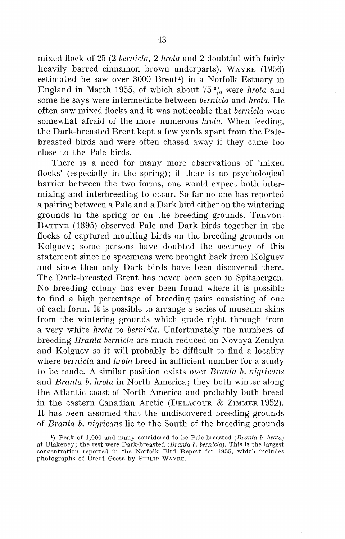mixed flock of 25 (2 *bernicla,* 2 *hrota* and 2 doubtful with fairly heavily barred cinnamon brown underparts). WAYRE (1956) estimated he saw over 3000 Brent<sup>1</sup>) in a Norfolk Estuary in England in March 1955, of which about  $75 \frac{0}{0}$  were *hrota* and some he says were intermediate between *bernicla* and *hrota.* He often saw mixed flocks and it was noticeable that *bernicla* were somewhat afraid of the more numerous *hrota.* When feeding, the Dark-breasted Brent kept a few yards apart from the Palebreasted hirds and were often chased away if they came too close to the Pale hirds.

There is a need for many more observations of 'mixed flocks' (especially in the spring); if there is no psychological barrier between the two forms, one would expect both intermixing and interbreeding to occur. So far no one has reported a pairing between a Pale and a Dark hird either on the wintering grounds in the spring or on the breeding grounds. TREVOR-BATTYE (1895) observed Pale and Dark hirds together in the flocks of captured moulting hirds on the breeding grounds on Kolguev; some persons have doubted the accuracy of this statement since no specimens were brought back from Kolguev and since then only Dark hirds have been discovered there. The Dark-breasted Brent has never been seen in Spitsbergen. No breeding colony has ever been found where it is possible to find a high percentage of breeding pairs consisting of one of each form. It is possible to arrange a series of museum skins from the wintering grounds which grade right through from a very white *hrota* to *bernicla.* Unfortunately the numbers of breeding *Branta bernicla* are much reduced on Novaya Zemlya and Kolguev so it will probably be difficult to find a locality where *bernicla* and *hrota* breed in sufficient number for a study to be made. A similar position exists over *Branta b. nigricans*  and *Branta b. hrota* in North America; they both winter along the Atlantic coast of North America and probably both breed in the eastern Canadian Arctic (DELACOUR & ZIMMER 1952). It has been assumed that the undiscovered breeding grounds of *Branta b. nigricans* lie to the South of the breeding grounds

<sup>&</sup>lt;sup>1</sup>) Peak of 1,000 and many considered to be Pale-breasted (*Branta b. hrota*) at Blakeney; the rest were Dark-breasted (Branta b. bernicla). This is the largest concentration reported in the Norfolk Bird Report for 1955, which includes photographs of Brent Geese by PHILIP WAYRE.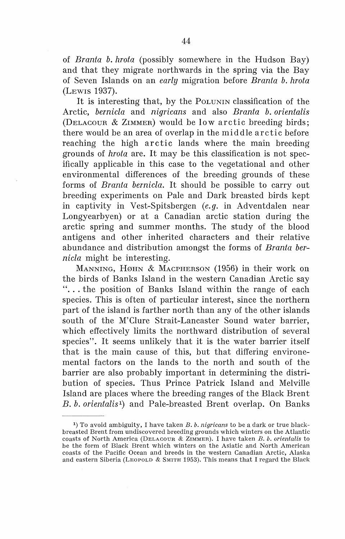of *Branta b. hrota* (possibly somewhere in the Hudson Bay) and that they migrate northwards in the spring via the Bay of Seven Islands on an *early* migration before *Branta b. hrota*  (LEWIS 1937).

It is interesting that, by the PoLUNIN classification of the Arctic, *bernicla* and *nigricans* and also *Branta b. orientalis*  (DELAcouR & ZIMMER) would be low arctic breeding hirds; there would be an area of overlap in the middle arctic before reaching the high arctic lands where the main breeding grounds of *hrota* are. It may be this classification is not specifically applicable in this case to the vegetational and other environmental differences of the breeding grounds of these forms of *Branta bernicla.* It should be possible to carry out breeding experiments on Pale and Dark breasted hirds kept in captivity in Vest-Spitsbergen *(e.g.* in Adventdalen near Longyearbyen) or at a Canadian arctic station during the arctic spring and summer months. The study of the blood antigens and other inherited characters and their relative abundance and distribution amongst the forms of *Branta bernicla* might be interesting.

MANNING, HØHN & MACPHERSON  $(1956)$  in their work on the hirds of Banks Island in the western Canadian Arctic say "... the position of Banks Island within the range of each species. This is often of particular interest, since the northern part of the island is farther north than any of the other islands south of the M'Clure Strait-Lancaster Sound water barrier, which effectively limits the northward distribution of several species". It seems unlikely that it is the water barrier itself that is the main cause of this, but that differing environemental factors on the lands to the north and south of the barrier are also probably important in determining the distribution of species. Thus Prince Patrick Island and Melville Island are places where the breeding ranges of the Black Brent *B. b. orientalis* 1) and Pale-breasted Brent overlap. On Banks

<sup>1</sup> ) To avoid ambiguity, I have taken *B. b. nigricans* to be a dark or true blackbreasted Brent from undiscovered breeding grounds which winters on the Atlantic coasts of North America (DELACOUR & ZIMMER). I have taken *B. b. orientalis* to be the form of Black Brent which winters on the Asiatic and North American coasts of the Pacific Ocean and breeds in the western Canadian Arctic, Alaska and eastern Siberia (LEOPOLD  $\&$  SMITH 1953). This means that I regard the Black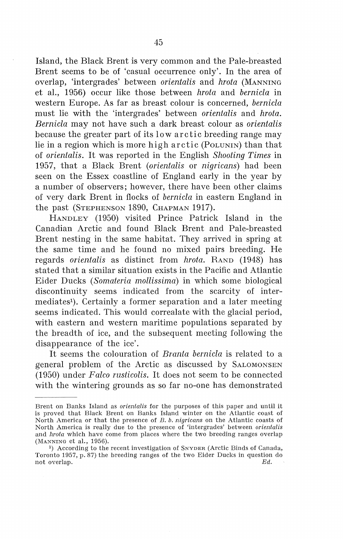Island, the Black Brent is very common and the Pale-breasted Brent seems to be of 'casual occurrence only'. In the area of overlap, 'intergrades' between *orientalis* and *hrota* (MANNING et al., 1956) occur like those between *hrota* and *bernicla* in western Europe. As far as breast colour is concerned, *bernicla*  must lie with the 'intergrades' between *orientalis* and *hrota. Bernicla* may not have such a dark breast colour as *orientalis*  because the greater part of its low arctic breeding range may lie in a region which is more high arctic (PoLUNIN) than that of *orientalis.* It was reported in the English *Shooting Times* in 1957, that a Black Brent *(orientalis* or *nigricans)* had been seen on the Essex coastline of England early in the year by a number of observers; however, there have been other claims of very dark Brent in flocks of *bernicla* in eastern England in the past (STEPHENSON 1890, CHAPMAN 1917).

HANDLEY (1950) visited Prince Patrick Island in the Canadian Arctic and found Black Brent and Pale-breasted Brent nesting in the same habitat. They arrived in spring at the same time and he found no mixed pairs breeding. He regards *orientalis* as distinct from *hrota.* RAND (1948) has stated that a similar situation exists in the Pacific and Atlantic Eider Ducks *(Somateria mollissima)* in which some biological discontinuity seems indicated from the scarcity of intermediates<sup>1</sup>). Certainly a former separation and a later meeting seems indicated. This would correalate with the glacial period, with eastern and western maritime populations separated by the breadth of ice, and the subsequent meeting following the disappearance of the ice'.

It seems the colouration of *Branta bernicla* is related to a general problem of the Arctic as discussed by SALOMONSEN (1950) under *Falco rusticolis.* It does not seem to be connected with the wintering grounds as so far no-one has demonstrated

Brent on Banks Island as *orientalis* for the purposes of this paper and until it is proved that Black Brent on Banks Island winter on the Atlantic coast of North America or that the presence of *B. b. nigricans* on the Atlantic coasts of North America is really due to the presence of 'intergrades' between *orientalis*  and *hrota* which have come from places where the two breeding ranges overlap (MANNING et al., 1956).

<sup>&</sup>lt;sup>1</sup>) According to the recent investigation of SNYDER (Arctic Binds of Canada, Toronto 1957, p. 87) the breeding ranges of the two Eider Ducks in question do not overlap. Ed.  $Ed$ .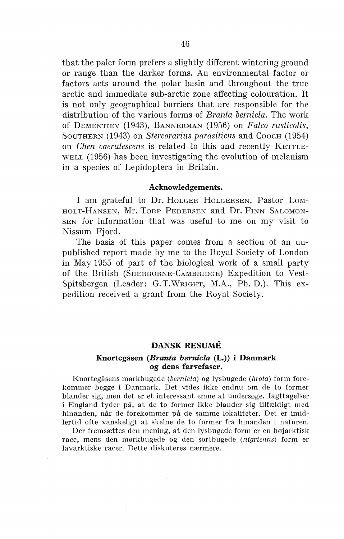that the paler form prefers a slightly different wintering ground or range than the darker forms. An environmental factor or factors acts around the polar basin and throughout the true arctic and immediate sub-arctic zone affecting colouration. It is not only geographical barriers that are responsible for the distribution of the various forms of *Branta bernicla.* The work of DEMENTIEV (1943), BANNERMAN (1956) Oll *Falco rusticolis,*  SOUTHERN (1943) on *Stercorarius parasiticus* and COOCH (1954) on *Chen caerulescens* is related to this and recently KETTLE-WELL (1956) has been investigating the evolution of melanism in a species of Lepidoptera in Britain.

### Acknowledgements.

I am grateful to Dr. HoLGER HoLGERSEN, Pastor LoM-HOLT-HANSEN, Mr. TORP PEDERSEN and Dr. FINN SALOMON-SEN for information that was useful to me on my visit to Nissum Fjord.

The basis of this paper comes from a section of an unpublished report made by me to the Royal Society of London in May 1955 of part of the biological work of a small party of the British (SHERBORNE-CAMBRIDGE) Expedition to Vest-Spitsbergen (Leader: G. T.WRIGHT, M.A., Ph. D.). This expedition received a grant from the Royal Society.

## DANSK RESUME

## Knortegåsen *(Branta bernicla* (L.)) i Danmark og dens farvefaser.

Knortegåsens mørkbugede (bernicla) og lysbugede (hrota) form forekommer begge i Danmark. Det vides ikke endnu om de to former blander sig, men det er et interessant emne at undersøge. Iagttagelser i England tyder på, at de to former ikke blander sig tilfældigt med hinanden, når de forekommer på de samme lokaliteter. Det er imidlertid ofte vanskeligt at skelne de to former fra hinanden i naturen.

Der fremsættes den mening, at den lysbugede form er en højarktisk race, mens den mørkbugede og den sortbugede (nigricans) form er lavarktiske racer. Dette diskuteres nærmere.